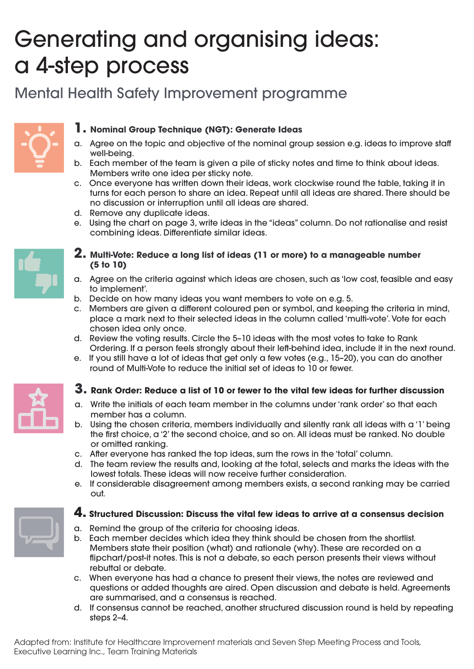# Generating and organising ideas: a 4-step process

## Mental Health Safety Improvement programme



#### **1. Nominal Group Technique (NGT): Generate Ideas**

- a. Agree on the topic and objective of the nominal group session e.g. ideas to improve sta well-being.
- b. Each member of the team is given a pile of sticky notes and time to think about ideas. Members write one idea per sticky note.
- c. Once everyone has written down their ideas, work clockwise round the table, taking it in turns for each person to share an idea. Repeat until all ideas are shared. There should be no discussion or interruption until all ideas are shared.
- d. Remove any duplicate ideas.
- e. Using the chart on page 3, write ideas in the "ideas" column. Do not rationalise and resist combining ideas. Differentiate similar ideas.



#### **2. Multi-Vote: Reduce a long list of ideas (11 or more) to a manageable number (5 to 10)**

- a. Agree on the criteria against which ideas are chosen, such as 'low cost, feasible and easy to implement'.
- b. Decide on how many ideas you want members to vote on e.g. 5.
- c. Members are given a different coloured pen or symbol, and keeping the criteria in mind, place a mark next to their selected ideas in the column called 'multi-vote'. Vote for each chosen idea only once.
- d. Review the voting results. Circle the 5–10 ideas with the most votes to take to Rank Ordering. If a person feels strongly about their left-behind idea, include it in the next round.
- e. If you still have a lot of ideas that get only a few votes (e.g., 15–20), you can do another round of Multi-Vote to reduce the initial set of ideas to 10 or fewer.



### **3. Rank Order: Reduce a list of 10 or fewer to the vital few ideas for further discussion**

- a. Write the initials of each team member in the columns under 'rank order' so that each member has a column.
- b. Using the chosen criteria, members individually and silently rank all ideas with a '1' being the first choice, a '2' the second choice, and so on. All ideas must be ranked. No double or omitted ranking.
- c. After everyone has ranked the top ideas, sum the rows in the 'total' column.
- d. The team review the results and, looking at the total, selects and marks the ideas with the lowest totals. These ideas will now receive further consideration.
- e. If considerable disagreement among members exists, a second ranking may be carried out.

### **4. Structured Discussion: Discuss the vital few ideas to arrive at a consensus decision**

- a. Remind the group of the criteria for choosing ideas.
- b. Each member decides which idea they think should be chosen from the shortlist. Members state their position (what) and rationale (why). These are recorded on a flipchart/post-it notes. This is not a debate, so each person presents their views without rebuttal or debate.
- c. When everyone has had a chance to present their views, the notes are reviewed and questions or added thoughts are aired. Open discussion and debate is held. Agreements are summarised, and a consensus is reached.
- d. If consensus cannot be reached, another structured discussion round is held by repeating steps 2–4.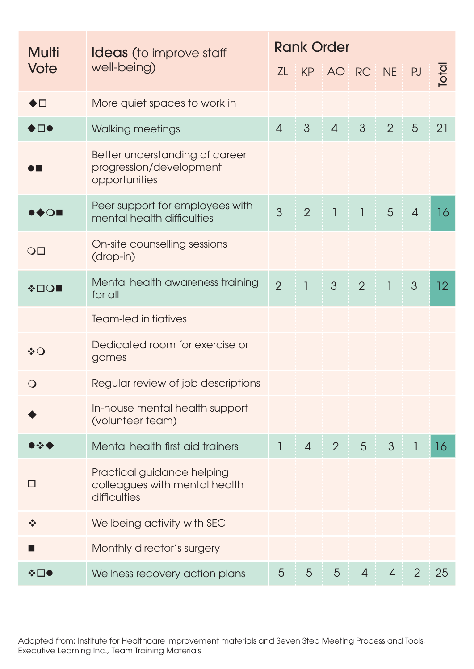| Multi<br>Vote                           | <b>Ideas</b> (to improve staff<br>well-being)                               | <b>Rank Order</b> |                |                          |                          |                |                |       |
|-----------------------------------------|-----------------------------------------------------------------------------|-------------------|----------------|--------------------------|--------------------------|----------------|----------------|-------|
|                                         |                                                                             |                   |                | ZL KP AO RC NE           |                          |                | <b>PJ</b>      | Total |
| ◆□                                      | More quiet spaces to work in                                                |                   |                |                          |                          |                |                |       |
| ◆□●                                     | Walking meetings                                                            | $\overline{4}$    | $\mathcal{S}$  | $\overline{4}$           | 3                        | $\overline{2}$ | 5              | 21    |
|                                         | Better understanding of career<br>progression/development<br>opportunities  |                   |                |                          |                          |                |                |       |
| $\bullet\spadesuit\bigcirc\blacksquare$ | Peer support for employees with<br>mental health difficulties               | $\overline{3}$    | $\overline{2}$ | $\overline{\phantom{a}}$ | $\overline{\phantom{a}}$ | 5              | $\overline{4}$ | 16    |
| $\overline{O}$                          | On-site counselling sessions<br>(drop-in)                                   |                   |                |                          |                          |                |                |       |
| <b>∻□○■</b>                             | Mental health awareness training<br>for all                                 | $\overline{2}$    | $\overline{1}$ | $\mathfrak{S}$           | $\overline{2}$           | $\overline{1}$ | 3              | 12    |
|                                         | <b>Team-led initiatives</b>                                                 |                   |                |                          |                          |                |                |       |
| ∻○                                      | Dedicated room for exercise or<br>games                                     |                   |                |                          |                          |                |                |       |
| $\bigcirc$                              | Regular review of job descriptions                                          |                   |                |                          |                          |                |                |       |
|                                         | In-house mental health support<br>(volunteer team)                          |                   |                |                          |                          |                |                |       |
| $\sim$ 4                                | Mental health first aid trainers                                            | $\mathbb{I}$      | $\overline{4}$ | $\overline{2}$           | 5                        | $\mathcal{S}$  | 1              | 16    |
| l I                                     | Practical guidance helping<br>colleagues with mental health<br>difficulties |                   |                |                          |                          |                |                |       |
| $\frac{1}{2}$                           | Wellbeing activity with SEC                                                 |                   |                |                          |                          |                |                |       |
|                                         | Monthly director's surgery                                                  |                   |                |                          |                          |                |                |       |
| ❖□●                                     | Wellness recovery action plans                                              | 5                 | 5              | 5                        | $\overline{4}$           | $\overline{4}$ | $\overline{2}$ | 25    |